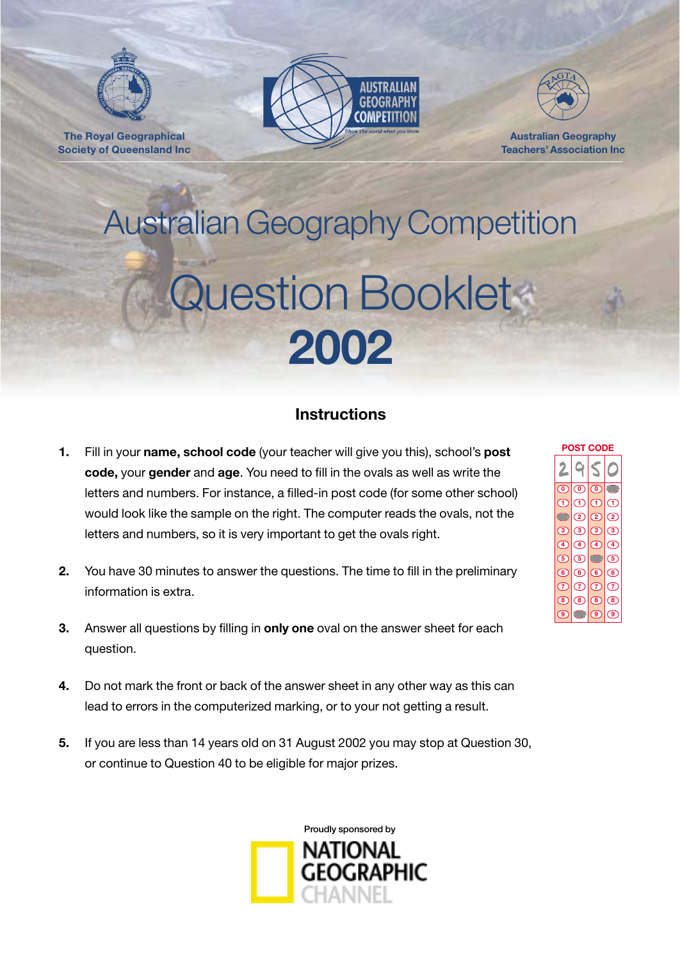

**The Royal Geographical Society of Queensland Inc**





**Australian Geography Teachers' Association Inc**

# Australian Geography Competition Question Booklet **2002**

## **Instructions**

- **1.** Fill in your **name, school code** (your teacher will give you this), school's **post code,** your **gender** and **age**. You need to fill in the ovals as well as write the letters and numbers. For instance, a filled-in post code (for some other school) would look like the sample on the right. The computer reads the ovals, not the letters and numbers, so it is very important to get the ovals right.
- **2.** You have 30 minutes to answer the questions. The time to fill in the preliminary information is extra.
- **3.** Answer all questions by filling in **only one** oval on the answer sheet for each question.
- **4.** Do not mark the front or back of the answer sheet in any other way as this can lead to errors in the computerized marking, or to your not getting a result.
- **5.** If you are less than 14 years old on 31 August 2002 you may stop at Question 30, or continue to Question 40 to be eligible for major prizes.



| ⊏                         |                   |                |               |  |  |  |  |  |
|---------------------------|-------------------|----------------|---------------|--|--|--|--|--|
|                           |                   |                |               |  |  |  |  |  |
| ര                         | ര                 | ര              | ŗ             |  |  |  |  |  |
| (1                        | (1                | (1             | (1)           |  |  |  |  |  |
| Я                         | $\circled{2}$     | $\mathbf{C}$   | $\circled{2}$ |  |  |  |  |  |
| $\circ$                   | ි                 | $\circledcirc$ | ි             |  |  |  |  |  |
| (4)                       | $\left( 4\right)$ | (4)            | (4)           |  |  |  |  |  |
| $\mathbf{\overline{(5)}}$ | $\left( 5\right)$ |                | (5)           |  |  |  |  |  |
| 6                         | ( 6               | (6)            | 6             |  |  |  |  |  |
| $\left(7\right)$          | (7)               | $\sigma$       | (7)           |  |  |  |  |  |
| 8)                        | (8)               | (8)            | (8)           |  |  |  |  |  |
| ெ                         |                   | ( 9ັ           | ( 9           |  |  |  |  |  |

**POST CODE**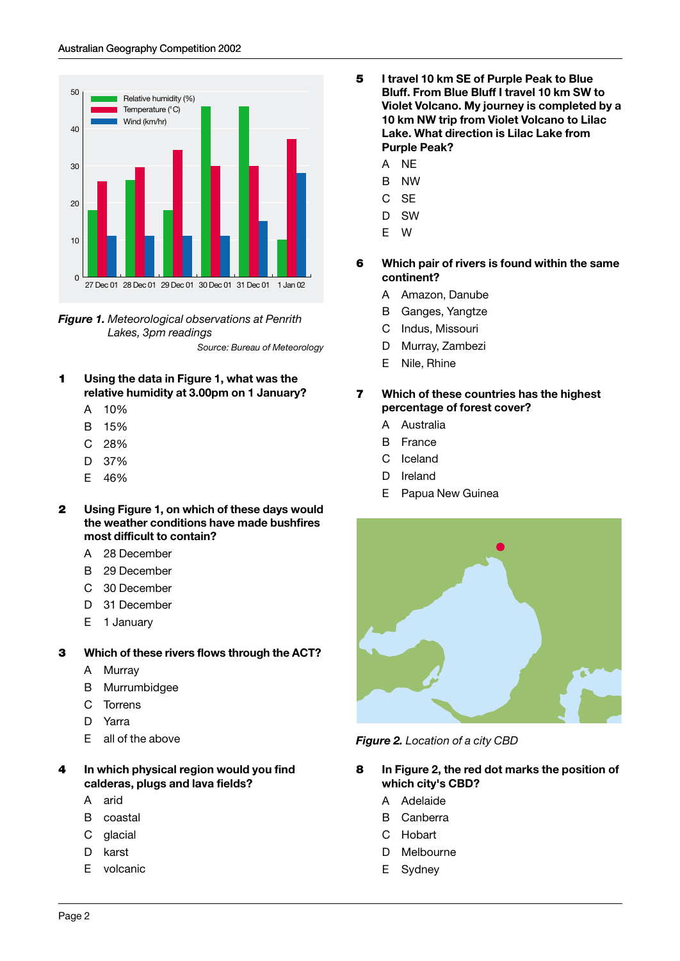



- **1 Using the data in Figure 1, what was the relative humidity at 3.00pm on 1 January?**
	- A 10%
	- B 15%
	- C 28%
	- D 37%
	- E 46%
- **2 Using Figure 1, on which of these days would the weather conditions have made bushfires most difficult to contain?**
	- A 28 December
	- B 29 December
	- C 30 December
	- D 31 December
	- E 1 January
- **3 Which of these rivers flows through the ACT?**
	- A Murray
	- B Murrumbidgee
	- C Torrens
	- D Yarra
	- E all of the above
- **4 In which physical region would you find calderas, plugs and lava fields?**
	- A arid
	- B coastal
	- C glacial
	- D karst
	- E volcanic
- **5 I travel 10 km SE of Purple Peak to Blue Bluff. From Blue Bluff I travel 10 km SW to Violet Volcano. My journey is completed by a 10 km NW trip from Violet Volcano to Lilac Lake. What direction is Lilac Lake from Purple Peak?**
	- A NE
	- B NW
	- C SE
	- D SW
	- E W
- **6 Which pair of rivers is found within the same continent?**
	- A Amazon, Danube
	- B Ganges, Yangtze
	- C Indus, Missouri
	- D Murray, Zambezi
	- E Nile, Rhine
- **7 Which of these countries has the highest percentage of forest cover?**
	- A Australia
	- B France
	- C Iceland
	- D Ireland
	- E Papua New Guinea



*Figure 2. Location of a city CBD*

- **8 In Figure 2, the red dot marks the position of which city's CBD?**
	- A Adelaide
	- B Canberra
	- C Hobart
	- D Melbourne
	- E Sydney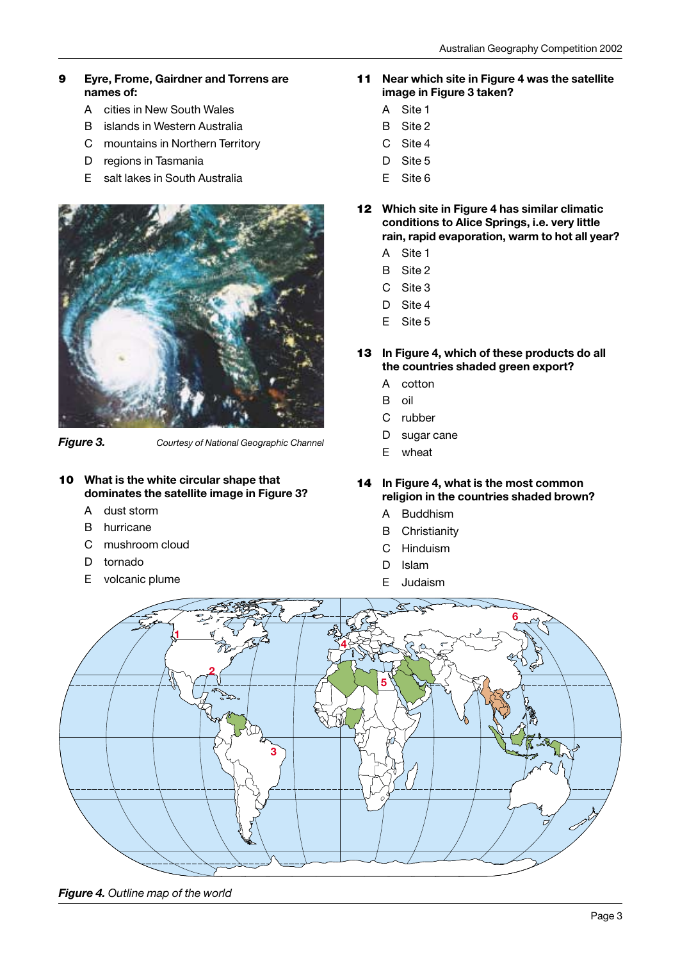#### **9 Eyre, Frome, Gairdner and Torrens are names of:**

- A cities in New South Wales
- B islands in Western Australia
- C mountains in Northern Territory
- D regions in Tasmania
- E salt lakes in South Australia



*Figure 3. Courtesy of National Geographic Channel*

- **10 What is the white circular shape that dominates the satellite image in Figure 3?**
	- A dust storm
	- B hurricane
	- C mushroom cloud
	- D tornado
	- E volcanic plume
- **11 Near which site in Figure 4 was the satellite image in Figure 3 taken?**
	- A Site 1
	- B Site 2
	- C Site 4
	- D Site 5
	- E Site 6
- **12 Which site in Figure 4 has similar climatic conditions to Alice Springs, i.e. very little rain, rapid evaporation, warm to hot all year?**
	- A Site 1
	- B Site 2
	- C Site 3
	- D Site 4
	- E Site 5
- **13 In Figure 4, which of these products do all the countries shaded green export?**
	- A cotton
	- B oil
	- C rubber
	- D sugar cane
	- E wheat
- **14 In Figure 4, what is the most common religion in the countries shaded brown?**
	- A Buddhism
	- B Christianity
	- C Hinduism
	- D Islam
	- E Judaism



*Figure 4. Outline map of the world*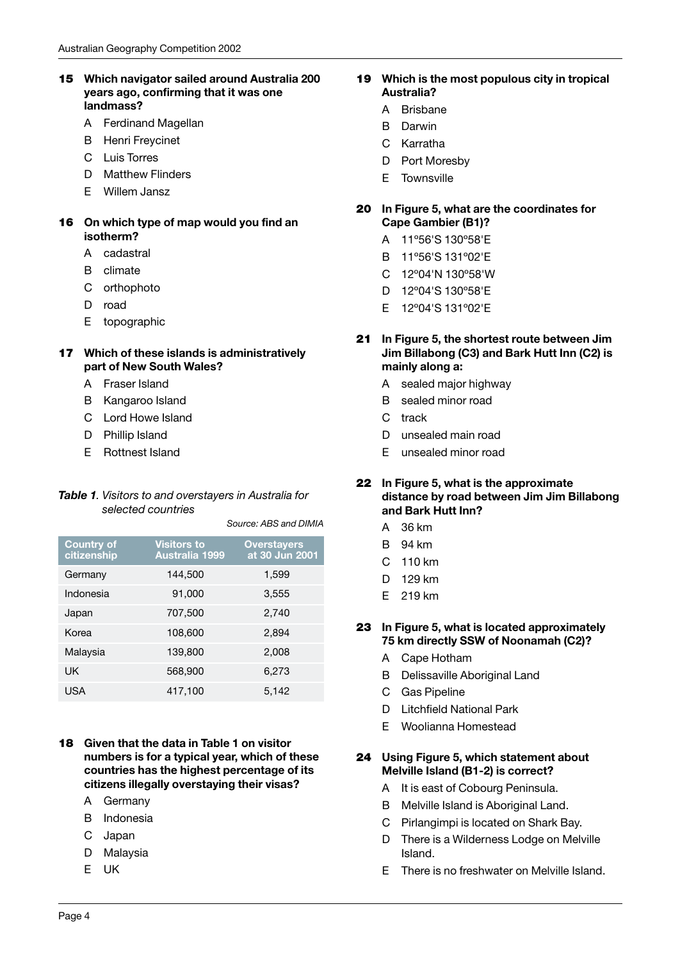#### **15 Which navigator sailed around Australia 200 years ago, confirming that it was one landmass?**

- A Ferdinand Magellan
- B Henri Freycinet
- C Luis Torres
- D Matthew Flinders
- E Willem Jansz

#### **16 On which type of map would you find an isotherm?**

- A cadastral
- B climate
- C orthophoto
- D road
- E topographic

#### **17 Which of these islands is administratively part of New South Wales?**

- A Fraser Island
- B Kangaroo Island
- C Lord Howe Island
- D Phillip Island
- E Rottnest Island

#### *Table 1. Visitors to and overstayers in Australia for selected countries*

*Source: ABS and DIMIA*

| <b>Country of</b><br>citizenship | <b>Visitors to</b><br><b>Australia 1999</b> | <b>Overstayers</b><br>at 30 Jun 2001 |
|----------------------------------|---------------------------------------------|--------------------------------------|
| Germany                          | 144,500                                     | 1,599                                |
| Indonesia                        | 91,000                                      | 3,555                                |
| Japan                            | 707,500                                     | 2,740                                |
| Korea                            | 108,600                                     | 2.894                                |
| Malaysia                         | 139,800                                     | 2,008                                |
| UK                               | 568,900                                     | 6,273                                |
| USA                              | 417,100                                     | 5,142                                |

#### **18 Given that the data in Table 1 on visitor numbers is for a typical year, which of these countries has the highest percentage of its citizens illegally overstaying their visas?**

- A Germany
- B Indonesia
- C Japan
- D Malaysia
- E UK

#### **19 Which is the most populous city in tropical Australia?**

- A Brisbane
- B Darwin
- C Karratha
- D Port Moresby
- E Townsville

#### **20 In Figure 5, what are the coordinates for Cape Gambier (B1)?**

- A 11º56'S 130º58'E
- B 11º56'S 131º02'E
- C 12º04'N 130º58'W
- D 12º04'S 130º58'E
- E 12º04'S 131º02'E
- **21 In Figure 5, the shortest route between Jim Jim Billabong (C3) and Bark Hutt Inn (C2) is mainly along a:**
	- A sealed major highway
	- B sealed minor road
	- C track
	- D unsealed main road
	- E unsealed minor road

#### **22 In Figure 5, what is the approximate distance by road between Jim Jim Billabong and Bark Hutt Inn?**

- A 36 km
- B 94 km
- C 110 km
- D 129 km
- E 219 km

#### **23 In Figure 5, what is located approximately 75 km directly SSW of Noonamah (C2)?**

- A Cape Hotham
- B Delissaville Aboriginal Land
- C Gas Pipeline
- D Litchfield National Park
- E Woolianna Homestead

#### **24 Using Figure 5, which statement about Melville Island (B1-2) is correct?**

- A It is east of Cobourg Peninsula.
- B Melville Island is Aboriginal Land.
- C Pirlangimpi is located on Shark Bay.
- D There is a Wilderness Lodge on Melville Island.
- E There is no freshwater on Melville Island.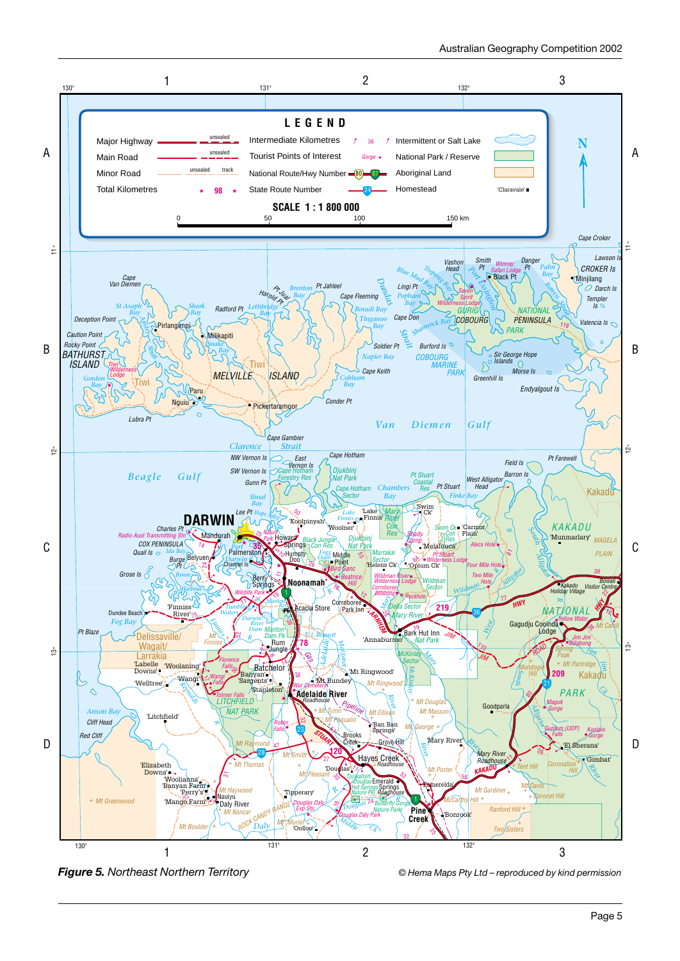

*Figure 5. Northeast Northern Territory © Hema Maps Pty Ltd – reproduced by kind permission*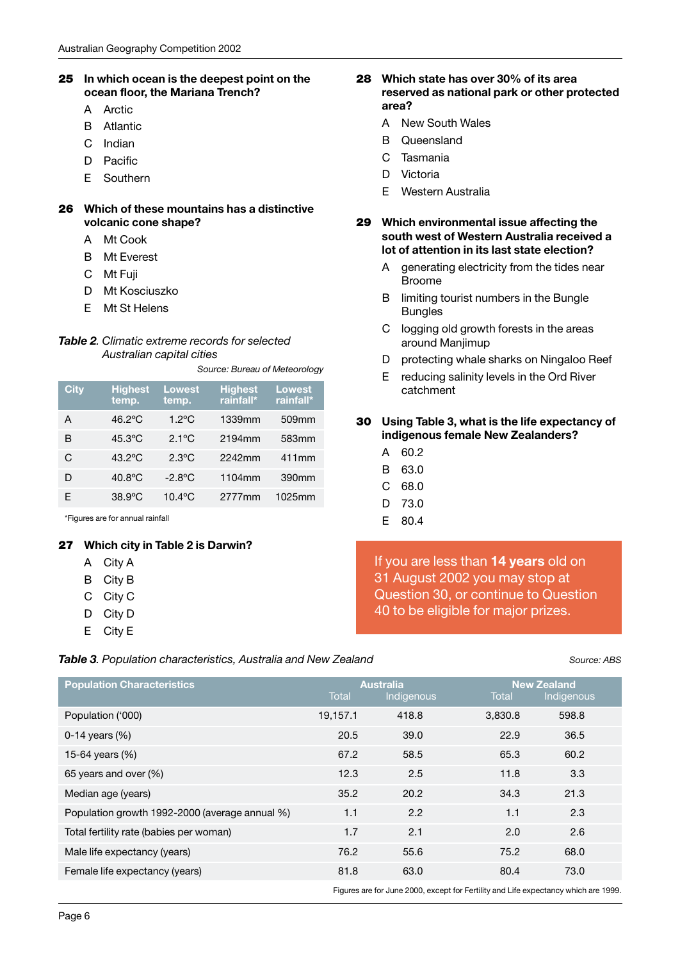#### **25 In which ocean is the deepest point on the ocean floor, the Mariana Trench?**

- A Arctic
- B Atlantic
- C Indian
- D Pacific
- E Southern

#### **26 Which of these mountains has a distinctive volcanic cone shape?**

- A Mt Cook
- B Mt Everest
- C Mt Fuji
- D Mt Kosciuszko
- E Mt St Helens

#### *Table 2. Climatic extreme records for selected Australian capital cities*

*Source: Bureau of Meteorology*

| <b>City</b> | <b>Highest</b><br>temp. | <b>Lowest</b><br>temp. | <b>Highest</b><br>rainfall* | <b>Lowest</b><br>rainfall* |
|-------------|-------------------------|------------------------|-----------------------------|----------------------------|
| A           | 46.2°C                  | $1.2$ °C               | 1339mm                      | 509mm                      |
| в           | $45.3$ °C               | $2.1^{\circ}$ C        | 2194mm                      | 583mm                      |
| C           | $43.2^{\circ}$ C        | $2.3\degree$ C         | 2242mm                      | 411mm                      |
| D           | 40.8°C                  | $-2.8$ °C              | 1104mm                      | 390mm                      |
| F           | $38.9^{\circ}$ C        | $10.4$ °C              | 2777mm                      | 1025mm                     |

\*Figures are for annual rainfall

#### **27 Which city in Table 2 is Darwin?**

- A City A
- B City B
- C City C
- D City D
- E City E

#### *Table 3. Population characteristics, Australia and New Zealand Source: ABS*

#### **28 Which state has over 30% of its area reserved as national park or other protected area?**

- A New South Wales
- B Queensland
- C Tasmania
- D Victoria
- E Western Australia
- **29 Which environmental issue affecting the south west of Western Australia received a lot of attention in its last state election?**
	- A generating electricity from the tides near Broome
	- B limiting tourist numbers in the Bungle Bungles
	- C logging old growth forests in the areas around Manjimup
	- D protecting whale sharks on Ningaloo Reef
	- E reducing salinity levels in the Ord River catchment

#### **30 Using Table 3, what is the life expectancy of indigenous female New Zealanders?**

- A 60.2
- B 63.0
- C 68.0
- D 73.0
- E 80.4

If you are less than **14 years** old on 31 August 2002 you may stop at Question 30, or continue to Question 40 to be eligible for major prizes.

| <b>Population Characteristics</b>              | Total    | <b>Australia</b><br>Indigenous            | <b>New Zealand</b><br>Total<br>Indigenous |       |  |
|------------------------------------------------|----------|-------------------------------------------|-------------------------------------------|-------|--|
| Population ('000)                              | 19,157.1 | 418.8                                     | 3,830.8                                   | 598.8 |  |
| 0-14 years $(\%)$                              | 20.5     | 39.0                                      | 22.9                                      | 36.5  |  |
| 15-64 years (%)                                | 67.2     | 58.5                                      | 65.3                                      | 60.2  |  |
| 65 years and over (%)                          | 12.3     | 2.5                                       | 11.8                                      | 3.3   |  |
| Median age (years)                             | 35.2     | 20.2                                      | 34.3                                      | 21.3  |  |
| Population growth 1992-2000 (average annual %) | 1.1      | 2.2                                       | 1.1                                       | 2.3   |  |
| Total fertility rate (babies per woman)        | 1.7      | 2.1                                       | 2.0                                       | 2.6   |  |
| Male life expectancy (years)                   | 76.2     | 55.6                                      | 75.2                                      | 68.0  |  |
| Female life expectancy (years)                 | 81.8     | 63.0                                      | 80.4                                      | 73.0  |  |
|                                                |          | <b>E' (I GOOD IF E HILL I I'LL I JOOD</b> |                                           |       |  |

Figures are for June 2000, except for Fertility and Life expectancy which are 1999.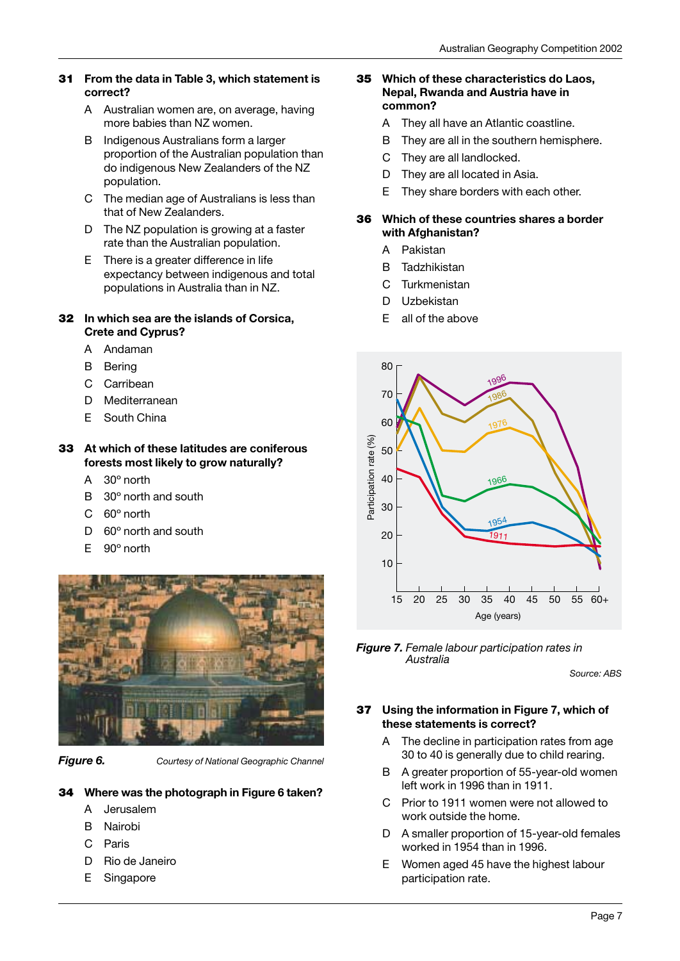#### **31 From the data in Table 3, which statement is correct?**

- A Australian women are, on average, having more babies than NZ women.
- B Indigenous Australians form a larger proportion of the Australian population than do indigenous New Zealanders of the NZ population.
- C The median age of Australians is less than that of New Zealanders.
- D The NZ population is growing at a faster rate than the Australian population.
- E There is a greater difference in life expectancy between indigenous and total populations in Australia than in NZ.

#### **32 In which sea are the islands of Corsica, Crete and Cyprus?**

- A Andaman
- B Bering
- C Carribean
- D Mediterranean
- E South China

#### **33 At which of these latitudes are coniferous forests most likely to grow naturally?**

- A 30º north
- B 30º north and south
- C 60º north
- D 60º north and south
- E 90º north



*Figure 6. Courtesy of National Geographic Channel*

### **34 Where was the photograph in Figure 6 taken?**

- A Jerusalem
- B Nairobi
- C Paris
- D Rio de Janeiro
- E Singapore

#### **35 Which of these characteristics do Laos, Nepal, Rwanda and Austria have in common?**

- A They all have an Atlantic coastline.
- B They are all in the southern hemisphere.
- C They are all landlocked.
- D They are all located in Asia.
- E They share borders with each other.

#### **36 Which of these countries shares a border with Afghanistan?**

- A Pakistan
- B Tadzhikistan
- C Turkmenistan
- D Uzbekistan
- E all of the above



*Figure 7. Female labour participation rates in Australia*

*Source: ABS*

#### **37 Using the information in Figure 7, which of these statements is correct?**

- A The decline in participation rates from age 30 to 40 is generally due to child rearing.
- B A greater proportion of 55-year-old women left work in 1996 than in 1911.
- C Prior to 1911 women were not allowed to work outside the home.
- D A smaller proportion of 15-year-old females worked in 1954 than in 1996.
- E Women aged 45 have the highest labour participation rate.